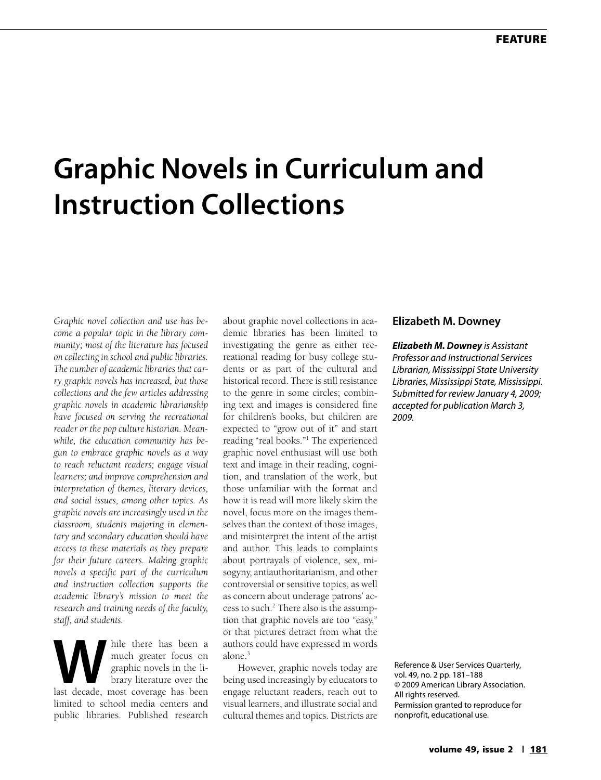# **Graphic Novels in Curriculum and Instruction Collections**

*Graphic novel collection and use has become a popular topic in the library community; most of the literature has focused on collecting in school and public libraries. The number of academic libraries that carry graphic novels has increased, but those collections and the few articles addressing graphic novels in academic librarianship have focused on serving the recreational reader or the pop culture historian. Meanwhile, the education community has begun to embrace graphic novels as a way to reach reluctant readers; engage visual learners; and improve comprehension and interpretation of themes, literary devices, and social issues, among other topics. As graphic novels are increasingly used in the classroom, students majoring in elementary and secondary education should have access to these materials as they prepare for their future careers. Making graphic novels a specific part of the curriculum and instruction collection supports the academic library's mission to meet the research and training needs of the faculty, staff, and students.* 

While there has been a much greater focus on graphic novels in the library literature over the last decade, most coverage has been much greater focus on graphic novels in the library literature over the limited to school media centers and public libraries. Published research

about graphic novel collections in academic libraries has been limited to investigating the genre as either recreational reading for busy college students or as part of the cultural and historical record. There is still resistance to the genre in some circles; combining text and images is considered fine for children's books, but children are expected to "grow out of it" and start reading "real books."1 The experienced graphic novel enthusiast will use both text and image in their reading, cognition, and translation of the work, but those unfamiliar with the format and how it is read will more likely skim the novel, focus more on the images themselves than the context of those images, and misinterpret the intent of the artist and author. This leads to complaints about portrayals of violence, sex, misogyny, antiauthoritarianism, and other controversial or sensitive topics, as well as concern about underage patrons' access to such.<sup>2</sup> There also is the assumption that graphic novels are too "easy," or that pictures detract from what the authors could have expressed in words alone.<sup>3</sup>

However, graphic novels today are being used increasingly by educators to engage reluctant readers, reach out to visual learners, and illustrate social and cultural themes and topics. Districts are

#### **Elizabeth M. Downey**

*Elizabeth M. Downey is Assistant Professor and Instructional Services Librarian, Mississippi State University Libraries, Mississippi State, Mississippi. Submitted for review January 4, 2009; accepted for publication March 3, 2009.*

Reference & User Services Quarterly, vol. 49, no. 2 pp. 181–188 © 2009 American Library Association. All rights reserved. Permission granted to reproduce for nonprofit, educational use.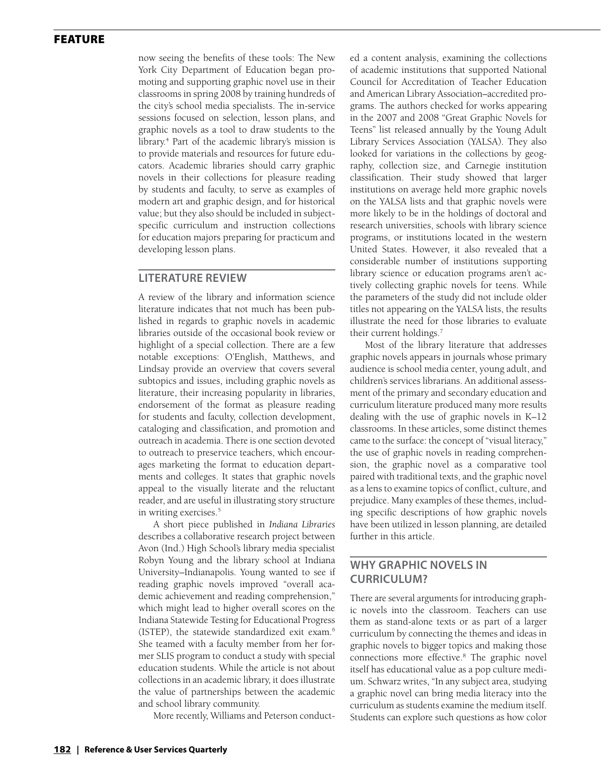now seeing the benefits of these tools: The New York City Department of Education began promoting and supporting graphic novel use in their classrooms in spring 2008 by training hundreds of the city's school media specialists. The in-service sessions focused on selection, lesson plans, and graphic novels as a tool to draw students to the library.4 Part of the academic library's mission is to provide materials and resources for future educators. Academic libraries should carry graphic novels in their collections for pleasure reading by students and faculty, to serve as examples of modern art and graphic design, and for historical value; but they also should be included in subjectspecific curriculum and instruction collections for education majors preparing for practicum and developing lesson plans.

#### **Literature Review**

A review of the library and information science literature indicates that not much has been published in regards to graphic novels in academic libraries outside of the occasional book review or highlight of a special collection. There are a few notable exceptions: O'English, Matthews, and Lindsay provide an overview that covers several subtopics and issues, including graphic novels as literature, their increasing popularity in libraries, endorsement of the format as pleasure reading for students and faculty, collection development, cataloging and classification, and promotion and outreach in academia. There is one section devoted to outreach to preservice teachers, which encourages marketing the format to education departments and colleges. It states that graphic novels appeal to the visually literate and the reluctant reader, and are useful in illustrating story structure in writing exercises.<sup>5</sup>

A short piece published in *Indiana Libraries* describes a collaborative research project between Avon (Ind.) High School's library media specialist Robyn Young and the library school at Indiana University–Indianapolis. Young wanted to see if reading graphic novels improved "overall academic achievement and reading comprehension," which might lead to higher overall scores on the Indiana Statewide Testing for Educational Progress (ISTEP), the statewide standardized exit exam.6 She teamed with a faculty member from her former SLIS program to conduct a study with special education students. While the article is not about collections in an academic library, it does illustrate the value of partnerships between the academic and school library community.

More recently, Williams and Peterson conduct-

ed a content analysis, examining the collections of academic institutions that supported National Council for Accreditation of Teacher Education and American Library Association–accredited programs. The authors checked for works appearing in the 2007 and 2008 "Great Graphic Novels for Teens" list released annually by the Young Adult Library Services Association (YALSA). They also looked for variations in the collections by geography, collection size, and Carnegie institution classification. Their study showed that larger institutions on average held more graphic novels on the YALSA lists and that graphic novels were more likely to be in the holdings of doctoral and research universities, schools with library science programs, or institutions located in the western United States. However, it also revealed that a considerable number of institutions supporting library science or education programs aren't actively collecting graphic novels for teens. While the parameters of the study did not include older titles not appearing on the YALSA lists, the results illustrate the need for those libraries to evaluate their current holdings.7

Most of the library literature that addresses graphic novels appears in journals whose primary audience is school media center, young adult, and children's services librarians. An additional assessment of the primary and secondary education and curriculum literature produced many more results dealing with the use of graphic novels in K–12 classrooms. In these articles, some distinct themes came to the surface: the concept of "visual literacy," the use of graphic novels in reading comprehension, the graphic novel as a comparative tool paired with traditional texts, and the graphic novel as a lens to examine topics of conflict, culture, and prejudice. Many examples of these themes, including specific descriptions of how graphic novels have been utilized in lesson planning, are detailed further in this article.

## **Why Graphic Novels in Curriculum?**

There are several arguments for introducing graphic novels into the classroom. Teachers can use them as stand-alone texts or as part of a larger curriculum by connecting the themes and ideas in graphic novels to bigger topics and making those connections more effective.8 The graphic novel itself has educational value as a pop culture medium. Schwarz writes, "In any subject area, studying a graphic novel can bring media literacy into the curriculum as students examine the medium itself. Students can explore such questions as how color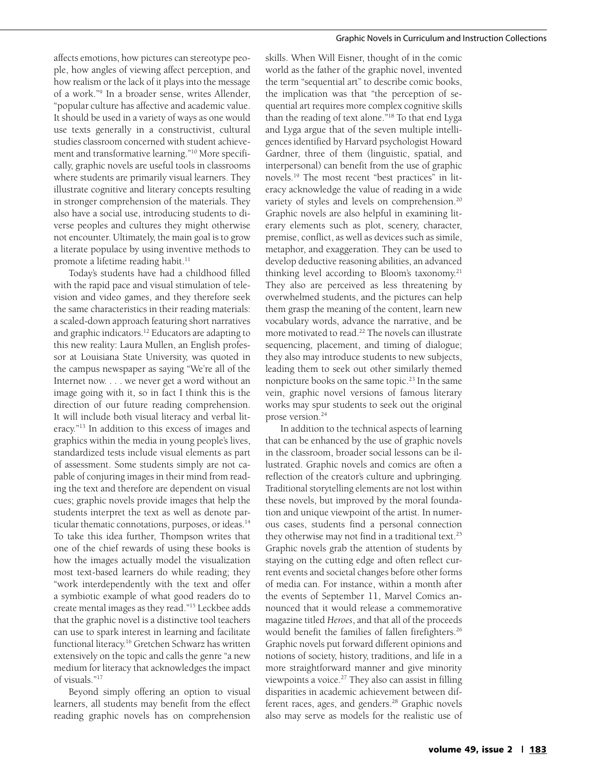#### Graphic Novels in Curriculum and Instruction Collections

affects emotions, how pictures can stereotype people, how angles of viewing affect perception, and how realism or the lack of it plays into the message of a work."9 In a broader sense, writes Allender, "popular culture has affective and academic value. It should be used in a variety of ways as one would use texts generally in a constructivist, cultural studies classroom concerned with student achievement and transformative learning."10 More specifically, graphic novels are useful tools in classrooms where students are primarily visual learners. They illustrate cognitive and literary concepts resulting in stronger comprehension of the materials. They also have a social use, introducing students to diverse peoples and cultures they might otherwise not encounter. Ultimately, the main goal is to grow a literate populace by using inventive methods to promote a lifetime reading habit.<sup>11</sup>

Today's students have had a childhood filled with the rapid pace and visual stimulation of television and video games, and they therefore seek the same characteristics in their reading materials: a scaled-down approach featuring short narratives and graphic indicators.12 Educators are adapting to this new reality: Laura Mullen, an English professor at Louisiana State University, was quoted in the campus newspaper as saying "We're all of the Internet now. . . . we never get a word without an image going with it, so in fact I think this is the direction of our future reading comprehension. It will include both visual literacy and verbal literacy."13 In addition to this excess of images and graphics within the media in young people's lives, standardized tests include visual elements as part of assessment. Some students simply are not capable of conjuring images in their mind from reading the text and therefore are dependent on visual cues; graphic novels provide images that help the students interpret the text as well as denote particular thematic connotations, purposes, or ideas.<sup>14</sup> To take this idea further, Thompson writes that one of the chief rewards of using these books is how the images actually model the visualization most text-based learners do while reading; they "work interdependently with the text and offer a symbiotic example of what good readers do to create mental images as they read."15 Leckbee adds that the graphic novel is a distinctive tool teachers can use to spark interest in learning and facilitate functional literacy.16 Gretchen Schwarz has written extensively on the topic and calls the genre "a new medium for literacy that acknowledges the impact of visuals."17

Beyond simply offering an option to visual learners, all students may benefit from the effect reading graphic novels has on comprehension

skills. When Will Eisner, thought of in the comic world as the father of the graphic novel, invented the term "sequential art" to describe comic books, the implication was that "the perception of sequential art requires more complex cognitive skills than the reading of text alone."18 To that end Lyga and Lyga argue that of the seven multiple intelligences identified by Harvard psychologist Howard Gardner, three of them (linguistic, spatial, and interpersonal) can benefit from the use of graphic novels.19 The most recent "best practices" in literacy acknowledge the value of reading in a wide variety of styles and levels on comprehension.<sup>20</sup> Graphic novels are also helpful in examining literary elements such as plot, scenery, character, premise, conflict, as well as devices such as simile, metaphor, and exaggeration. They can be used to develop deductive reasoning abilities, an advanced thinking level according to Bloom's taxonomy.21 They also are perceived as less threatening by overwhelmed students, and the pictures can help them grasp the meaning of the content, learn new vocabulary words, advance the narrative, and be more motivated to read.<sup>22</sup> The novels can illustrate sequencing, placement, and timing of dialogue; they also may introduce students to new subjects, leading them to seek out other similarly themed nonpicture books on the same topic.<sup>23</sup> In the same vein, graphic novel versions of famous literary works may spur students to seek out the original prose version.<sup>24</sup>

In addition to the technical aspects of learning that can be enhanced by the use of graphic novels in the classroom, broader social lessons can be illustrated. Graphic novels and comics are often a reflection of the creator's culture and upbringing. Traditional storytelling elements are not lost within these novels, but improved by the moral foundation and unique viewpoint of the artist. In numerous cases, students find a personal connection they otherwise may not find in a traditional text.<sup>25</sup> Graphic novels grab the attention of students by staying on the cutting edge and often reflect current events and societal changes before other forms of media can. For instance, within a month after the events of September 11, Marvel Comics announced that it would release a commemorative magazine titled *Heroes*, and that all of the proceeds would benefit the families of fallen firefighters.<sup>26</sup> Graphic novels put forward different opinions and notions of society, history, traditions, and life in a more straightforward manner and give minority viewpoints a voice.<sup>27</sup> They also can assist in filling disparities in academic achievement between different races, ages, and genders.<sup>28</sup> Graphic novels also may serve as models for the realistic use of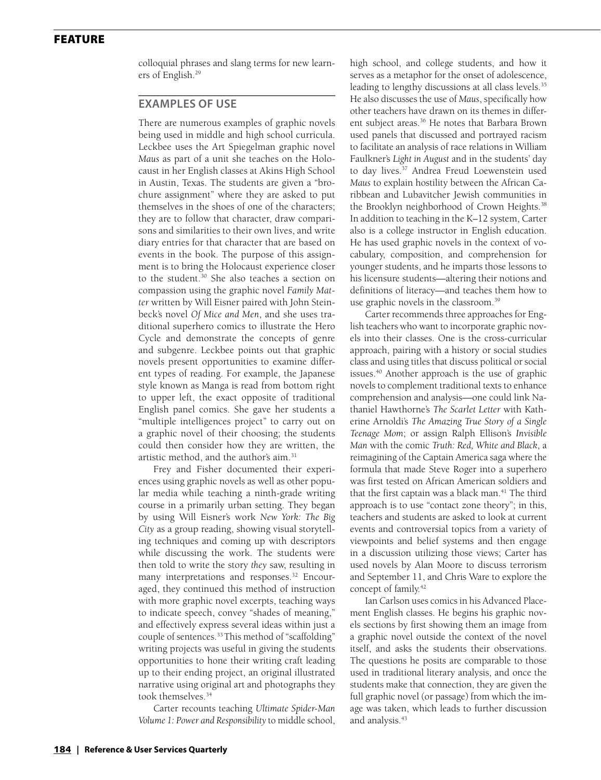colloquial phrases and slang terms for new learners of English.29

#### **Examples of Use**

There are numerous examples of graphic novels being used in middle and high school curricula. Leckbee uses the Art Spiegelman graphic novel *Maus* as part of a unit she teaches on the Holocaust in her English classes at Akins High School in Austin, Texas. The students are given a "brochure assignment" where they are asked to put themselves in the shoes of one of the characters; they are to follow that character, draw comparisons and similarities to their own lives, and write diary entries for that character that are based on events in the book. The purpose of this assignment is to bring the Holocaust experience closer to the student.<sup>30</sup> She also teaches a section on compassion using the graphic novel *Family Matter* written by Will Eisner paired with John Steinbeck's novel *Of Mice and Men*, and she uses traditional superhero comics to illustrate the Hero Cycle and demonstrate the concepts of genre and subgenre. Leckbee points out that graphic novels present opportunities to examine different types of reading. For example, the Japanese style known as Manga is read from bottom right to upper left, the exact opposite of traditional English panel comics. She gave her students a "multiple intelligences project" to carry out on a graphic novel of their choosing; the students could then consider how they are written, the artistic method, and the author's aim.31

Frey and Fisher documented their experiences using graphic novels as well as other popular media while teaching a ninth-grade writing course in a primarily urban setting. They began by using Will Eisner's work *New York: The Big City* as a group reading, showing visual storytelling techniques and coming up with descriptors while discussing the work. The students were then told to write the story *they* saw, resulting in many interpretations and responses.<sup>32</sup> Encouraged, they continued this method of instruction with more graphic novel excerpts, teaching ways to indicate speech, convey "shades of meaning," and effectively express several ideas within just a couple of sentences.<sup>33</sup> This method of "scaffolding" writing projects was useful in giving the students opportunities to hone their writing craft leading up to their ending project, an original illustrated narrative using original art and photographs they took themselves.34

Carter recounts teaching *Ultimate Spider-Man Volume 1: Power and Responsibility* to middle school, high school, and college students, and how it serves as a metaphor for the onset of adolescence, leading to lengthy discussions at all class levels.<sup>35</sup> He also discusses the use of *Maus*, specifically how other teachers have drawn on its themes in different subject areas.<sup>36</sup> He notes that Barbara Brown used panels that discussed and portrayed racism to facilitate an analysis of race relations in William Faulkner's *Light in August* and in the students' day to day lives.<sup>37</sup> Andrea Freud Loewenstein used *Maus* to explain hostility between the African Caribbean and Lubavitcher Jewish communities in the Brooklyn neighborhood of Crown Heights.<sup>38</sup> In addition to teaching in the K–12 system, Carter also is a college instructor in English education. He has used graphic novels in the context of vocabulary, composition, and comprehension for younger students, and he imparts those lessons to his licensure students—altering their notions and definitions of literacy—and teaches them how to use graphic novels in the classroom.<sup>39</sup>

Carter recommends three approaches for English teachers who want to incorporate graphic novels into their classes. One is the cross-curricular approach, pairing with a history or social studies class and using titles that discuss political or social issues.40 Another approach is the use of graphic novels to complement traditional texts to enhance comprehension and analysis—one could link Nathaniel Hawthorne's *The Scarlet Letter* with Katherine Arnoldi's *The Amazing True Story of a Single Teenage Mom*; or assign Ralph Ellison's *Invisible Man* with the comic *Truth: Red, White and Black*, a reimagining of the Captain America saga where the formula that made Steve Roger into a superhero was first tested on African American soldiers and that the first captain was a black man. $41$  The third approach is to use "contact zone theory"; in this, teachers and students are asked to look at current events and controversial topics from a variety of viewpoints and belief systems and then engage in a discussion utilizing those views; Carter has used novels by Alan Moore to discuss terrorism and September 11, and Chris Ware to explore the concept of family.<sup>42</sup>

Ian Carlson uses comics in his Advanced Placement English classes. He begins his graphic novels sections by first showing them an image from a graphic novel outside the context of the novel itself, and asks the students their observations. The questions he posits are comparable to those used in traditional literary analysis, and once the students make that connection, they are given the full graphic novel (or passage) from which the image was taken, which leads to further discussion and analysis.<sup>43</sup>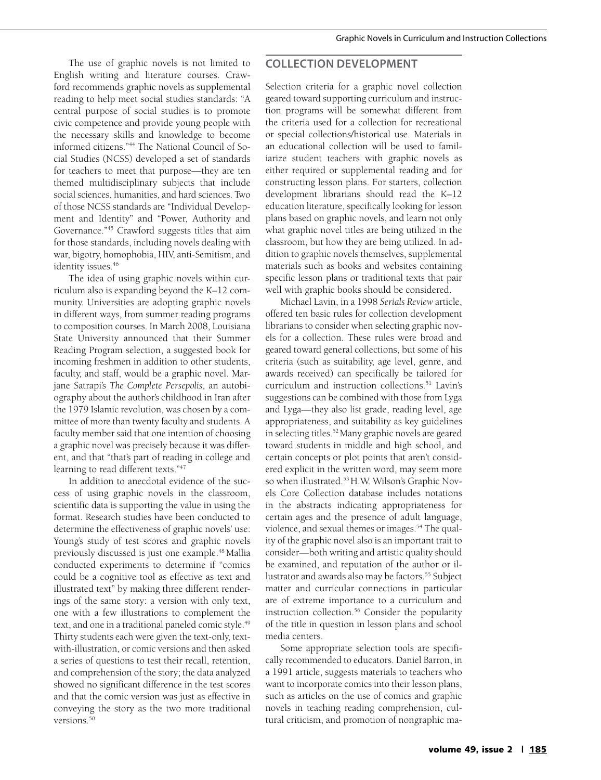The use of graphic novels is not limited to English writing and literature courses. Crawford recommends graphic novels as supplemental reading to help meet social studies standards: "A central purpose of social studies is to promote civic competence and provide young people with the necessary skills and knowledge to become informed citizens."44 The National Council of Social Studies (NCSS) developed a set of standards for teachers to meet that purpose—they are ten themed multidisciplinary subjects that include social sciences, humanities, and hard sciences. Two of those NCSS standards are "Individual Development and Identity" and "Power, Authority and Governance."45 Crawford suggests titles that aim for those standards, including novels dealing with war, bigotry, homophobia, HIV, anti-Semitism, and identity issues.<sup>46</sup>

The idea of using graphic novels within curriculum also is expanding beyond the K–12 community. Universities are adopting graphic novels in different ways, from summer reading programs to composition courses. In March 2008, Louisiana State University announced that their Summer Reading Program selection, a suggested book for incoming freshmen in addition to other students, faculty, and staff, would be a graphic novel. Marjane Satrapi's *The Complete Persepolis*, an autobiography about the author's childhood in Iran after the 1979 Islamic revolution, was chosen by a committee of more than twenty faculty and students. A faculty member said that one intention of choosing a graphic novel was precisely because it was different, and that "that's part of reading in college and learning to read different texts."<sup>47</sup>

In addition to anecdotal evidence of the success of using graphic novels in the classroom, scientific data is supporting the value in using the format. Research studies have been conducted to determine the effectiveness of graphic novels' use: Young's study of test scores and graphic novels previously discussed is just one example.<sup>48</sup> Mallia conducted experiments to determine if "comics could be a cognitive tool as effective as text and illustrated text" by making three different renderings of the same story: a version with only text, one with a few illustrations to complement the text, and one in a traditional paneled comic style.<sup>49</sup> Thirty students each were given the text-only, textwith-illustration, or comic versions and then asked a series of questions to test their recall, retention, and comprehension of the story; the data analyzed showed no significant difference in the test scores and that the comic version was just as effective in conveying the story as the two more traditional versions.<sup>50</sup>

### **Collection Development**

Selection criteria for a graphic novel collection geared toward supporting curriculum and instruction programs will be somewhat different from the criteria used for a collection for recreational or special collections/historical use. Materials in an educational collection will be used to familiarize student teachers with graphic novels as either required or supplemental reading and for constructing lesson plans. For starters, collection development librarians should read the K–12 education literature, specifically looking for lesson plans based on graphic novels, and learn not only what graphic novel titles are being utilized in the classroom, but how they are being utilized. In addition to graphic novels themselves, supplemental materials such as books and websites containing specific lesson plans or traditional texts that pair well with graphic books should be considered.

Michael Lavin, in a 1998 *Serials Review* article, offered ten basic rules for collection development librarians to consider when selecting graphic novels for a collection. These rules were broad and geared toward general collections, but some of his criteria (such as suitability, age level, genre, and awards received) can specifically be tailored for curriculum and instruction collections.51 Lavin's suggestions can be combined with those from Lyga and Lyga—they also list grade, reading level, age appropriateness, and suitability as key guidelines in selecting titles.<sup>52</sup> Many graphic novels are geared toward students in middle and high school, and certain concepts or plot points that aren't considered explicit in the written word, may seem more so when illustrated.<sup>53</sup> H.W. Wilson's Graphic Novels Core Collection database includes notations in the abstracts indicating appropriateness for certain ages and the presence of adult language, violence, and sexual themes or images.<sup>54</sup> The quality of the graphic novel also is an important trait to consider—both writing and artistic quality should be examined, and reputation of the author or illustrator and awards also may be factors.<sup>55</sup> Subject matter and curricular connections in particular are of extreme importance to a curriculum and instruction collection.<sup>56</sup> Consider the popularity of the title in question in lesson plans and school media centers.

Some appropriate selection tools are specifically recommended to educators. Daniel Barron, in a 1991 article, suggests materials to teachers who want to incorporate comics into their lesson plans, such as articles on the use of comics and graphic novels in teaching reading comprehension, cultural criticism, and promotion of nongraphic ma-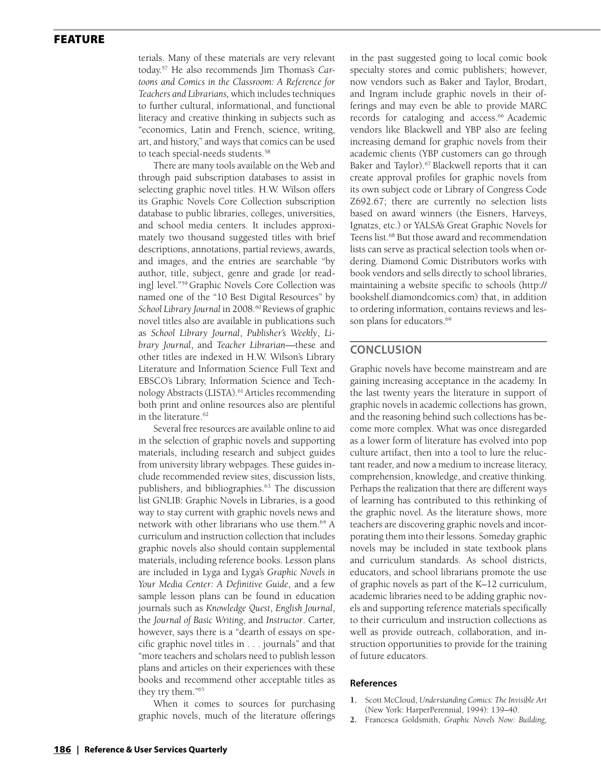terials. Many of these materials are very relevant today.57 He also recommends Jim Thomas's *Cartoons and Comics in the Classroom: A Reference for Teachers and Librarians,* which includes techniques to further cultural, informational, and functional literacy and creative thinking in subjects such as "economics, Latin and French, science, writing, art, and history," and ways that comics can be used to teach special-needs students.<sup>58</sup>

There are many tools available on the Web and through paid subscription databases to assist in selecting graphic novel titles. H.W. Wilson offers its Graphic Novels Core Collection subscription database to public libraries, colleges, universities, and school media centers. It includes approximately two thousand suggested titles with brief descriptions, annotations, partial reviews, awards, and images, and the entries are searchable "by author, title, subject, genre and grade [or reading] level."59 Graphic Novels Core Collection was named one of the "10 Best Digital Resources" by School Library Journal in 2008.<sup>60</sup> Reviews of graphic novel titles also are available in publications such as *School Library Journal*, *Publisher's Weekly*, *Library Journal*, and *Teacher Librarian—*these and other titles are indexed in H.W. Wilson's Library Literature and Information Science Full Text and EBSCO's Library, Information Science and Technology Abstracts (LISTA).<sup>61</sup> Articles recommending both print and online resources also are plentiful in the literature.<sup>62</sup>

Several free resources are available online to aid in the selection of graphic novels and supporting materials, including research and subject guides from university library webpages. These guides include recommended review sites, discussion lists, publishers, and bibliographies.<sup>63</sup> The discussion list GNLIB: Graphic Novels in Libraries, is a good way to stay current with graphic novels news and network with other librarians who use them.<sup>64</sup> A curriculum and instruction collection that includes graphic novels also should contain supplemental materials, including reference books. Lesson plans are included in Lyga and Lyga's *Graphic Novels in Your Media Center: A Definitive Guide*, and a few sample lesson plans can be found in education journals such as *Knowledge Quest*, *English Journal*, the *Journal of Basic Writing*, and *Instructor*. Carter, however, says there is a "dearth of essays on specific graphic novel titles in . . . journals" and that "more teachers and scholars need to publish lesson plans and articles on their experiences with these books and recommend other acceptable titles as they try them."65

When it comes to sources for purchasing graphic novels, much of the literature offerings in the past suggested going to local comic book specialty stores and comic publishers; however, now vendors such as Baker and Taylor, Brodart, and Ingram include graphic novels in their offerings and may even be able to provide MARC records for cataloging and access.<sup>66</sup> Academic vendors like Blackwell and YBP also are feeling increasing demand for graphic novels from their academic clients (YBP customers can go through Baker and Taylor).<sup>67</sup> Blackwell reports that it can create approval profiles for graphic novels from its own subject code or Library of Congress Code Z692.67; there are currently no selection lists based on award winners (the Eisners, Harveys, Ignatzs, etc.) or YALSA's Great Graphic Novels for Teens list.<sup>68</sup> But those award and recommendation lists can serve as practical selection tools when ordering. Diamond Comic Distributors works with book vendors and sells directly to school libraries, maintaining a website specific to schools (http:// bookshelf.diamondcomics.com) that, in addition to ordering information, contains reviews and lesson plans for educators.<sup>69</sup>

### **Conclusion**

Graphic novels have become mainstream and are gaining increasing acceptance in the academy. In the last twenty years the literature in support of graphic novels in academic collections has grown, and the reasoning behind such collections has become more complex. What was once disregarded as a lower form of literature has evolved into pop culture artifact, then into a tool to lure the reluctant reader, and now a medium to increase literacy, comprehension, knowledge, and creative thinking. Perhaps the realization that there are different ways of learning has contributed to this rethinking of the graphic novel. As the literature shows, more teachers are discovering graphic novels and incorporating them into their lessons. Someday graphic novels may be included in state textbook plans and curriculum standards. As school districts, educators, and school librarians promote the use of graphic novels as part of the K–12 curriculum, academic libraries need to be adding graphic novels and supporting reference materials specifically to their curriculum and instruction collections as well as provide outreach, collaboration, and instruction opportunities to provide for the training of future educators.

#### **References**

- **1.** Scott McCloud, *Understanding Comics: The Invisible Art*  (New York: HarperPerennial, 1994): 139–40.
- **2.** Francesca Goldsmith, *Graphic Novels Now: Building,*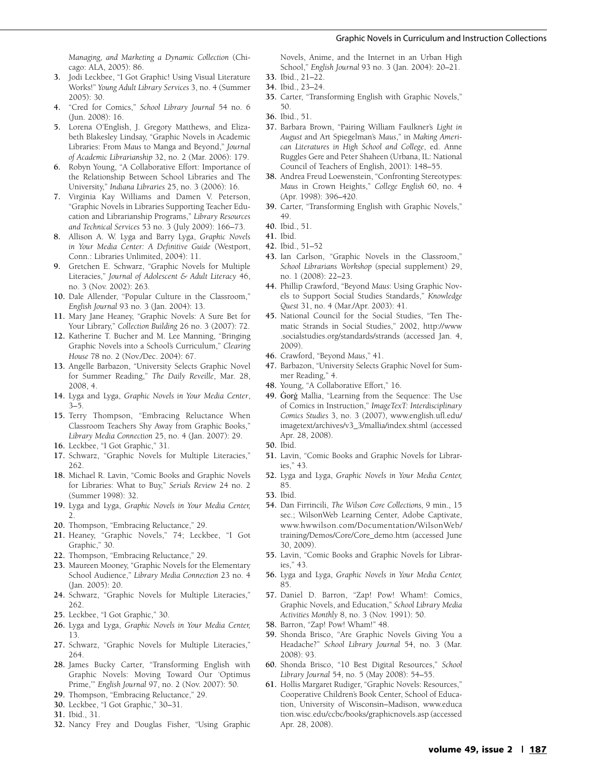#### Graphic Novels in Curriculum and Instruction Collections

*Managing, and Marketing a Dynamic Collection* (Chicago: ALA, 2005): 86.

- **3.** Jodi Leckbee, "I Got Graphic! Using Visual Literature Works!" *Young Adult Library Services* 3, no. 4 (Summer 2005): 30.
- **4.** "Cred for Comics," *School Library Journal* 54 no. 6 (Jun. 2008): 16.
- **5.** Lorena O'English, J. Gregory Matthews, and Elizabeth Blakesley Lindsay, "Graphic Novels in Academic Libraries: From *Maus* to Manga and Beyond," *Journal of Academic Librarianship* 32, no. 2 (Mar. 2006): 179.
- **6.** Robyn Young, "A Collaborative Effort: Importance of the Relationship Between School Libraries and The University," *Indiana Libraries* 25, no. 3 (2006): 16.
- **7.** Virginia Kay Williams and Damen V. Peterson, "Graphic Novels in Libraries Supporting Teacher Education and Librarianship Programs," *Library Resources and Technical Services* 53 no. 3 (July 2009): 166–73.
- **8.** Allison A. W. Lyga and Barry Lyga, *Graphic Novels in Your Media Center: A Definitive Guide* (Westport, Conn.: Libraries Unlimited, 2004): 11.
- **9.** Gretchen E. Schwarz, "Graphic Novels for Multiple Literacies," *Journal of Adolescent & Adult Literacy* 46, no. 3 (Nov. 2002): 263.
- **10.** Dale Allender, "Popular Culture in the Classroom," *English Journal* 93 no. 3 (Jan. 2004): 13.
- **11.** Mary Jane Heaney, "Graphic Novels: A Sure Bet for Your Library," *Collection Building* 26 no. 3 (2007): 72.
- **12.** Katherine T. Bucher and M. Lee Manning, "Bringing Graphic Novels into a School's Curriculum," *Clearing House* 78 no. 2 (Nov./Dec. 2004): 67.
- **13.** Angelle Barbazon, "University Selects Graphic Novel for Summer Reading," *The Daily Reveille*, Mar. 28, 2008, 4.
- **14.** Lyga and Lyga, *Graphic Novels in Your Media Center*, 3–5.
- **15.** Terry Thompson, "Embracing Reluctance When Classroom Teachers Shy Away from Graphic Books," *Library Media Connection* 25, no. 4 (Jan. 2007): 29.
- **16.** Leckbee, "I Got Graphic," 31.
- **17.** Schwarz, "Graphic Novels for Multiple Literacies," 262.
- **18.** Michael R. Lavin, "Comic Books and Graphic Novels for Libraries: What to Buy," *Serials Review* 24 no. 2 (Summer 1998): 32.
- **19.** Lyga and Lyga, *Graphic Novels in Your Media Center,* 2.
- **20.** Thompson, "Embracing Reluctance," 29.
- **21.** Heaney, "Graphic Novels," 74; Leckbee, "I Got Graphic," 30.
- **22.** Thompson, "Embracing Reluctance," 29.
- **23.** Maureen Mooney, "Graphic Novels for the Elementary School Audience," *Library Media Connection* 23 no. 4 (Jan. 2005): 20.
- **24.** Schwarz, "Graphic Novels for Multiple Literacies," 262.
- **25.** Leckbee, "I Got Graphic," 30.
- **26.** Lyga and Lyga, *Graphic Novels in Your Media Center,*  13.
- **27.** Schwarz, "Graphic Novels for Multiple Literacies," 264.
- **28.** James Bucky Carter, "Transforming English with Graphic Novels: Moving Toward Our 'Optimus Prime,'" *English Journal* 97, no. 2 (Nov. 2007): 50.
- **29.** Thompson, "Embracing Reluctance," 29.
- **30.** Leckbee, "I Got Graphic," 30–31.
- **31.** Ibid., 31.
- **32.** Nancy Frey and Douglas Fisher, "Using Graphic

Novels, Anime, and the Internet in an Urban High School," *English Journal* 93 no. 3 (Jan. 2004): 20–21.

- **33.** Ibid., 21–22.
- **34.** Ibid., 23–24.
- **35.** Carter, "Transforming English with Graphic Novels," 50.
- **36.** Ibid., 51.
- **37.** Barbara Brown, "Pairing William Faulkner's *Light in August* and Art Spiegelman's *Maus*," in *Making American Literatures in High School and College*, ed. Anne Ruggles Gere and Peter Shaheen (Urbana, IL: National Council of Teachers of English, 2001): 148–55.
- **38.** Andrea Freud Loewenstein, "Confronting Stereotypes: *Maus* in Crown Heights," *College English* 60, no. 4 (Apr. 1998): 396–420.
- **39.** Carter, "Transforming English with Graphic Novels," 49.
- **40.** Ibid., 51.
- **41.** Ibid.
- **42.** Ibid., 51–52
- **43.** Ian Carlson, "Graphic Novels in the Classroom," *School Librarians Workshop* (special supplement) 29, no. 1 (2008): 22–23.
- **44.** Phillip Crawford, "Beyond *Maus*: Using Graphic Novels to Support Social Studies Standards," *Knowledge Quest* 31, no. 4 (Mar./Apr. 2003): 41.
- **45.** National Council for the Social Studies, "Ten Thematic Strands in Social Studies," 2002, http://www .socialstudies.org/standards/strands (accessed Jan. 4, 2009).
- **46.** Crawford, "Beyond *Maus*," 41.
- **47.** Barbazon, "University Selects Graphic Novel for Summer Reading," 4.
- **48.** Young, "A Collaborative Effort," 16.
- **49.** Ġorġ Mallia, "Learning from the Sequence: The Use of Comics in Instruction," *ImageTexT: Interdisciplinary Comics Studies* 3, no. 3 (2007), www.english.ufl.edu/ imagetext/archives/v3\_3/mallia/index.shtml (accessed Apr. 28, 2008).
- **50.** Ibid.
- **51.** Lavin, "Comic Books and Graphic Novels for Libraries," 43.
- **52.** Lyga and Lyga, *Graphic Novels in Your Media Center,* 85.
- **53.** Ibid.
- **54.** Dan Firrincili, *The Wilson Core Collections,* 9 min., 15 sec.; WilsonWeb Learning Center, Adobe Captivate, www.hwwilson.com/Documentation/WilsonWeb/ training/Demos/Core/Core\_demo.htm (accessed June 30, 2009).
- **55.** Lavin, "Comic Books and Graphic Novels for Libraries," 43.
- **56.** Lyga and Lyga, *Graphic Novels in Your Media Center,* 85.
- **57.** Daniel D. Barron, "Zap! Pow! Wham!: Comics, Graphic Novels, and Education," *School Library Media Activities Monthly* 8, no. 3 (Nov. 1991): 50.
- **58.** Barron, "Zap! Pow! Wham!" 48.
- **59.** Shonda Brisco, "Are Graphic Novels Giving You a Headache?" *School Library Journal* 54, no. 3 (Mar. 2008): 93.
- **60.** Shonda Brisco, "10 Best Digital Resources," *School Library Journal* 54, no. 5 (May 2008): 54–55.
- **61.** Hollis Margaret Rudiger, "Graphic Novels: Resources," Cooperative Children's Book Center, School of Education, University of Wisconsin–Madison, www.educa tion.wisc.edu/ccbc/books/graphicnovels.asp (accessed Apr. 28, 2008).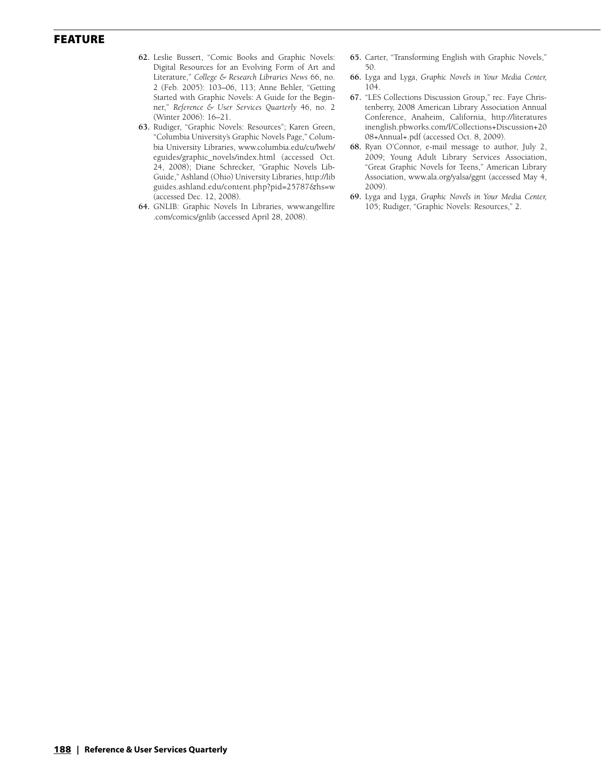- **62.** Leslie Bussert, "Comic Books and Graphic Novels: Digital Resources for an Evolving Form of Art and Literature," *College & Research Libraries News* 66, no. 2 (Feb. 2005): 103–06, 113; Anne Behler, "Getting Started with Graphic Novels: A Guide for the Beginner," *Reference & User Services Quarterly* 46, no. 2 (Winter 2006): 16–21.
- **63.** Rudiger, "Graphic Novels: Resources"; Karen Green, "Columbia University's Graphic Novels Page," Columbia University Libraries, www.columbia.edu/cu/lweb/ eguides/graphic\_novels/index.html (accessed Oct. 24, 2008); Diane Schrecker, "Graphic Novels Lib-Guide," Ashland (Ohio) University Libraries, http://lib guides.ashland.edu/content.php?pid=25787&hs=w (accessed Dec. 12, 2008).
- **64.** GNLIB: Graphic Novels In Libraries, www.angelfire .com/comics/gnlib (accessed April 28, 2008).
- **65.** Carter, "Transforming English with Graphic Novels," 50.
- **66.** Lyga and Lyga, *Graphic Novels in Your Media Center,* 104.
- **67.** "LES Collections Discussion Group," rec. Faye Christenberry, 2008 American Library Association Annual Conference, Anaheim, California, http://literatures inenglish.pbworks.com/f/Collections+Discussion+20 08+Annual+.pdf (accessed Oct. 8, 2009).
- **68.** Ryan O'Connor, e-mail message to author, July 2, 2009; Young Adult Library Services Association, "Great Graphic Novels for Teens," American Library Association, www.ala.org/yalsa/ggnt (accessed May 4, 2009).
- **69.** Lyga and Lyga, *Graphic Novels in Your Media Center,* 105; Rudiger, "Graphic Novels: Resources," 2.